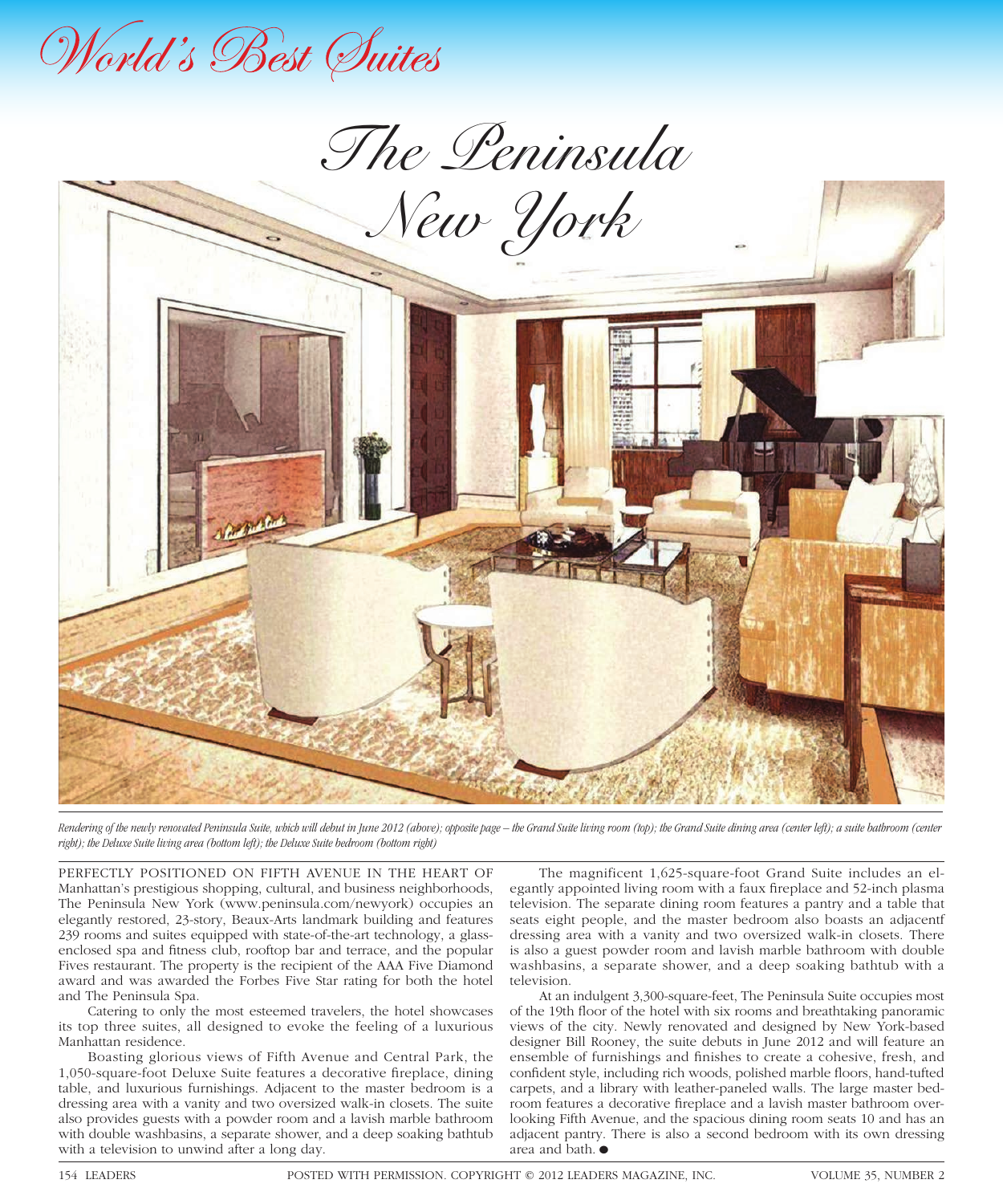

*The Peninsula* 



*Rendering of the newly renovated Peninsula Suite, which will debut in June 2012 (above); opposite page – the Grand Suite living room (top); the Grand Suite dining area (center left); a suite bathroom (center right); the Deluxe Suite living area (bottom left); the Deluxe Suite bedroom (bottom right)*

PERFECTLY POSITIONED ON FIFTH AVENUE IN THE HEART OF Manhattan's prestigious shopping, cultural, and business neighborhoods, The Peninsula New York (www.peninsula.com/newyork) occupies an elegantly restored, 23-story, Beaux-Arts landmark building and features 239 rooms and suites equipped with state-of-the-art technology, a glassenclosed spa and fitness club, rooftop bar and terrace, and the popular Fives restaurant. The property is the recipient of the AAA Five Diamond award and was awarded the Forbes Five Star rating for both the hotel and The Peninsula Spa.

Catering to only the most esteemed travelers, the hotel showcases its top three suites, all designed to evoke the feeling of a luxurious Manhattan residence.

Boasting glorious views of Fifth Avenue and Central Park, the 1,050-square-foot Deluxe Suite features a decorative fireplace, dining table, and luxurious furnishings. Adjacent to the master bedroom is a dressing area with a vanity and two oversized walk-in closets. The suite also provides guests with a powder room and a lavish marble bathroom with double washbasins, a separate shower, and a deep soaking bathtub with a television to unwind after a long day.

The magnificent 1,625-square-foot Grand Suite includes an elegantly appointed living room with a faux fireplace and 52-inch plasma television. The separate dining room features a pantry and a table that seats eight people, and the master bedroom also boasts an adjacentf dressing area with a vanity and two oversized walk-in closets. There is also a guest powder room and lavish marble bathroom with double washbasins, a separate shower, and a deep soaking bathtub with a television.

At an indulgent 3,300-square-feet, The Peninsula Suite occupies most of the 19th floor of the hotel with six rooms and breathtaking panoramic views of the city. Newly renovated and designed by New York-based designer Bill Rooney, the suite debuts in June 2012 and will feature an ensemble of furnishings and finishes to create a cohesive, fresh, and confident style, including rich woods, polished marble floors, hand-tufted carpets, and a library with leather-paneled walls. The large master bedroom features a decorative fireplace and a lavish master bathroom overlooking Fifth Avenue, and the spacious dining room seats 10 and has an adjacent pantry. There is also a second bedroom with its own dressing area and bath.  $\bullet$